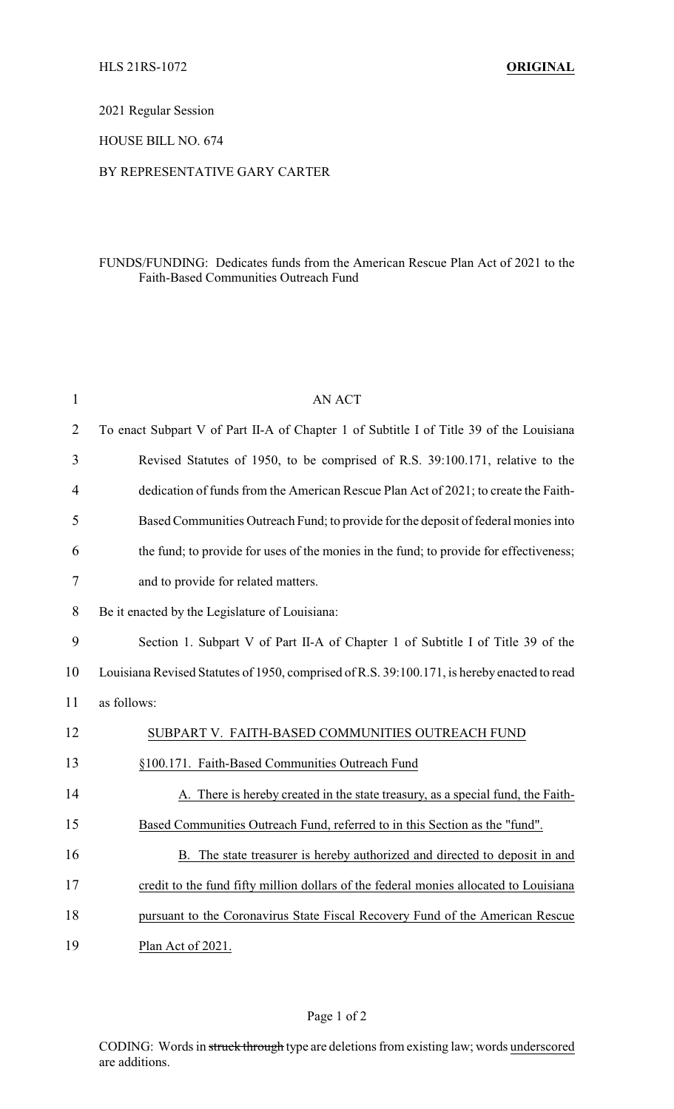2021 Regular Session

HOUSE BILL NO. 674

## BY REPRESENTATIVE GARY CARTER

## FUNDS/FUNDING: Dedicates funds from the American Rescue Plan Act of 2021 to the Faith-Based Communities Outreach Fund

| $\mathbf{1}$   | <b>AN ACT</b>                                                                               |
|----------------|---------------------------------------------------------------------------------------------|
| $\overline{2}$ | To enact Subpart V of Part II-A of Chapter 1 of Subtitle I of Title 39 of the Louisiana     |
| 3              | Revised Statutes of 1950, to be comprised of R.S. 39:100.171, relative to the               |
| 4              | dedication of funds from the American Rescue Plan Act of 2021; to create the Faith-         |
| 5              | Based Communities Outreach Fund; to provide for the deposit of federal monies into          |
| 6              | the fund; to provide for uses of the monies in the fund; to provide for effectiveness;      |
| 7              | and to provide for related matters.                                                         |
| 8              | Be it enacted by the Legislature of Louisiana:                                              |
| 9              | Section 1. Subpart V of Part II-A of Chapter 1 of Subtitle I of Title 39 of the             |
| 10             | Louisiana Revised Statutes of 1950, comprised of R.S. 39:100.171, is hereby enacted to read |
| 11             | as follows:                                                                                 |
| 12             | SUBPART V. FAITH-BASED COMMUNITIES OUTREACH FUND                                            |
| 13             | §100.171. Faith-Based Communities Outreach Fund                                             |
| 14             | A. There is hereby created in the state treasury, as a special fund, the Faith-             |
| 15             | Based Communities Outreach Fund, referred to in this Section as the "fund".                 |
| 16             | B. The state treasurer is hereby authorized and directed to deposit in and                  |
| 17             | credit to the fund fifty million dollars of the federal monies allocated to Louisiana       |
| 18             | pursuant to the Coronavirus State Fiscal Recovery Fund of the American Rescue               |
| 19             | Plan Act of 2021.                                                                           |

Page 1 of 2